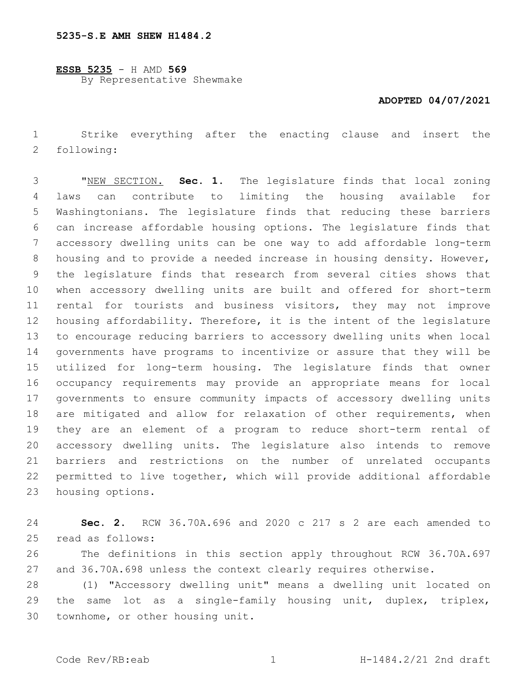**ESSB 5235** - H AMD **569** By Representative Shewmake

## **ADOPTED 04/07/2021**

 Strike everything after the enacting clause and insert the 2 following:

 "NEW SECTION. **Sec. 1.** The legislature finds that local zoning laws can contribute to limiting the housing available for Washingtonians. The legislature finds that reducing these barriers can increase affordable housing options. The legislature finds that accessory dwelling units can be one way to add affordable long-term housing and to provide a needed increase in housing density. However, the legislature finds that research from several cities shows that when accessory dwelling units are built and offered for short-term rental for tourists and business visitors, they may not improve housing affordability. Therefore, it is the intent of the legislature to encourage reducing barriers to accessory dwelling units when local governments have programs to incentivize or assure that they will be utilized for long-term housing. The legislature finds that owner occupancy requirements may provide an appropriate means for local governments to ensure community impacts of accessory dwelling units 18 are mitigated and allow for relaxation of other requirements, when they are an element of a program to reduce short-term rental of accessory dwelling units. The legislature also intends to remove barriers and restrictions on the number of unrelated occupants permitted to live together, which will provide additional affordable housing options.

 **Sec. 2.** RCW 36.70A.696 and 2020 c 217 s 2 are each amended to 25 read as follows:

 The definitions in this section apply throughout RCW 36.70A.697 and 36.70A.698 unless the context clearly requires otherwise.

 (1) "Accessory dwelling unit" means a dwelling unit located on 29 the same lot as a single-family housing unit, duplex, triplex, 30 townhome, or other housing unit.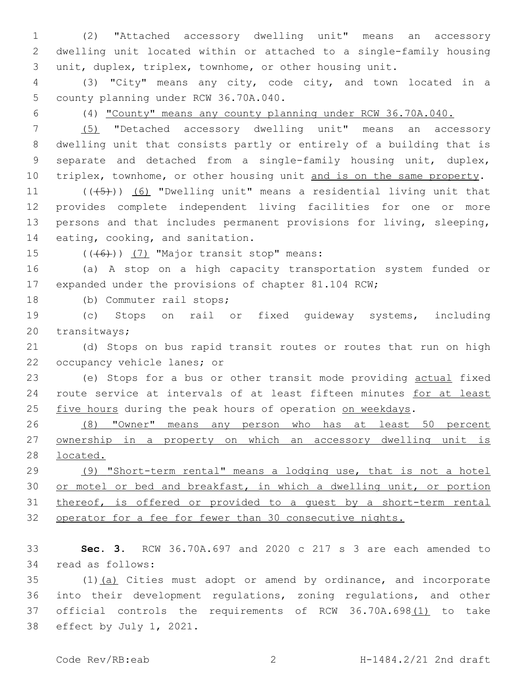(2) "Attached accessory dwelling unit" means an accessory dwelling unit located within or attached to a single-family housing unit, duplex, triplex, townhome, or other housing unit.

 (3) "City" means any city, code city, and town located in a 5 county planning under RCW 36.70A.040.

(4) "County" means any county planning under RCW 36.70A.040.

 (5) "Detached accessory dwelling unit" means an accessory dwelling unit that consists partly or entirely of a building that is separate and detached from a single-family housing unit, duplex, 10 triplex, townhome, or other housing unit and is on the same property.

11 (((45)) (6) "Dwelling unit" means a residential living unit that provides complete independent living facilities for one or more persons and that includes permanent provisions for living, sleeping, 14 eating, cooking, and sanitation.

15  $((\overline{6}))$   $(7)$  "Major transit stop" means:

 (a) A stop on a high capacity transportation system funded or expanded under the provisions of chapter 81.104 RCW;

18 (b) Commuter rail stops;

 (c) Stops on rail or fixed guideway systems, including 20 transitways;

 (d) Stops on bus rapid transit routes or routes that run on high 22 occupancy vehicle lanes; or

 (e) Stops for a bus or other transit mode providing actual fixed 24 route service at intervals of at least fifteen minutes for at least 25 five hours during the peak hours of operation on weekdays.

 (8) "Owner" means any person who has at least 50 percent ownership in a property on which an accessory dwelling unit is located.

 (9) "Short-term rental" means a lodging use, that is not a hotel 30 or motel or bed and breakfast, in which a dwelling unit, or portion thereof, is offered or provided to a guest by a short-term rental operator for a fee for fewer than 30 consecutive nights.

 **Sec. 3.** RCW 36.70A.697 and 2020 c 217 s 3 are each amended to 34 read as follows:

 (1)(a) Cities must adopt or amend by ordinance, and incorporate into their development regulations, zoning regulations, and other 37 official controls the requirements of RCW 36.70A.698(1) to take 38 effect by July 1, 2021.

Code Rev/RB:eab 2 H-1484.2/21 2nd draft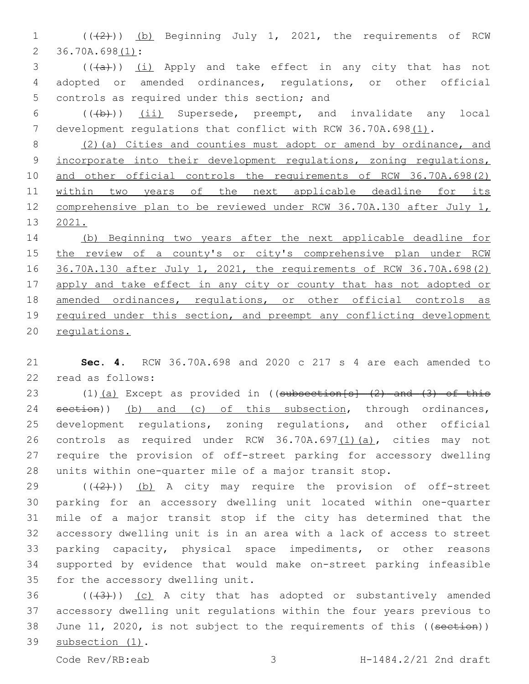1 (((2))) (b) Beginning July 1, 2021, the requirements of RCW 2 36.70A.698(1):

 $3$  (( $(a+b)$ ) <u>(i)</u> Apply and take effect in any city that has not 4 adopted or amended ordinances, regulations, or other official 5 controls as required under this section; and

6 (((b)) (ii) Supersede, preempt, and invalidate any local 7 development regulations that conflict with RCW 36.70A.698(1).

8 (2)(a) Cities and counties must adopt or amend by ordinance, and 9 incorporate into their development regulations, zoning regulations, 10 and other official controls the requirements of RCW 36.70A.698(2) 11 within two years of the next applicable deadline for its 12 comprehensive plan to be reviewed under RCW 36.70A.130 after July 1, 13 2021.

14 (b) Beginning two years after the next applicable deadline for 15 the review of a county's or city's comprehensive plan under RCW 16 36.70A.130 after July 1, 2021, the requirements of RCW 36.70A.698(2) 17 apply and take effect in any city or county that has not adopted or 18 amended ordinances, regulations, or other official controls as 19 required under this section, and preempt any conflicting development 20 regulations.

21 **Sec. 4.** RCW 36.70A.698 and 2020 c 217 s 4 are each amended to read as follows:22

 $(1)$   $(a)$  Except as provided in ((subsection[s]  $(2)$  and  $(3)$  of this 24 section)) (b) and (c) of this subsection, through ordinances, development regulations, zoning regulations, and other official controls as required under RCW 36.70A.697(1)(a), cities may not require the provision of off-street parking for accessory dwelling units within one-quarter mile of a major transit stop.

 $((+2+))$  (b) A city may require the provision of off-street parking for an accessory dwelling unit located within one-quarter mile of a major transit stop if the city has determined that the accessory dwelling unit is in an area with a lack of access to street parking capacity, physical space impediments, or other reasons supported by evidence that would make on-street parking infeasible 35 for the accessory dwelling unit.

36  $((+3+))$  (c) A city that has adopted or substantively amended 37 accessory dwelling unit regulations within the four years previous to 38 June 11, 2020, is not subject to the requirements of this ((section)) 39 subsection (1).

Code Rev/RB:eab 3 H-1484.2/21 2nd draft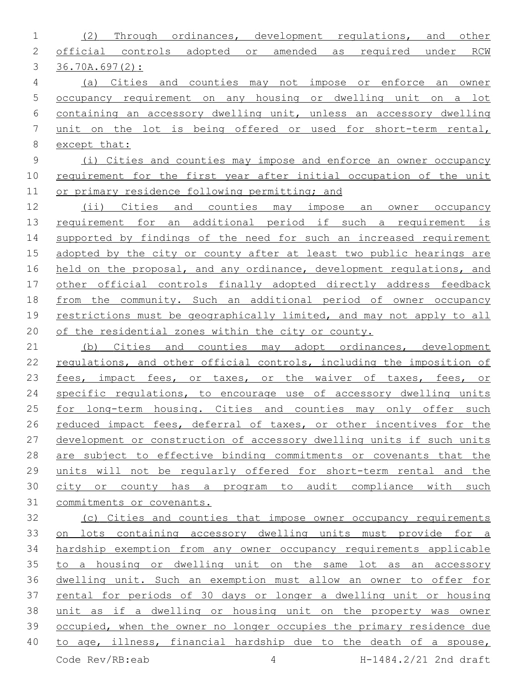| 1           | Through ordinances, development regulations,<br>(2)<br><u>and</u><br>other |
|-------------|----------------------------------------------------------------------------|
| 2           | official controls adopted or amended as required under<br>RCW              |
| 3           | $36.70A.697(2)$ :                                                          |
| 4           | (a) Cities and counties may not impose or enforce an<br>owner              |
| 5           | occupancy requirement on any housing or dwelling unit on a lot             |
| 6           | containing an accessory dwelling unit, unless an accessory dwelling        |
| 7           | unit on the lot is being offered or used for short-term rental,            |
| $8\,$       | except that:                                                               |
| $\mathsf 9$ | (i) Cities and counties may impose and enforce an owner occupancy          |
| 10          | requirement for the first year after initial occupation of the unit        |
| 11          | or primary residence following permitting; and                             |
| 12          | (ii) Cities and counties may impose an<br>owner occupancy                  |
| 13          | requirement for an additional period if such a requirement is              |
| 14          | supported by findings of the need for such an increased requirement        |
| 15          | adopted by the city or county after at least two public hearings are       |
| 16          | held on the proposal, and any ordinance, development regulations, and      |
| 17          | other official controls finally adopted directly address feedback          |
| 18          | from the community. Such an additional period of owner occupancy           |
| 19          | restrictions must be geographically limited, and may not apply to all      |
| 20          | of the residential zones within the city or county.                        |
| 21          | (b) Cities and counties may adopt ordinances, development                  |
| 22          | regulations, and other official controls, including the imposition of      |
| 23          | fees, impact fees, or taxes, or the waiver of taxes, fees, or              |
| 24          | specific regulations, to encourage use of accessory dwelling units         |
| 25          | for long-term housing. Cities and counties may only offer such             |
| 26          | reduced impact fees, deferral of taxes, or other incentives for the        |
| 27          | development or construction of accessory dwelling units if such units      |
| 28          | are subject to effective binding commitments or covenants that the         |
| 29          | units will not be regularly offered for short-term rental and the          |
| 30          | city or county has a program to audit compliance with such                 |
| 31          | commitments or covenants.                                                  |
| 32          | (c) Cities and counties that impose owner occupancy requirements           |
| 33          | on lots containing accessory dwelling units must provide for a             |
| 34          | hardship exemption from any owner occupancy requirements applicable        |
| 35          | to a housing or dwelling unit on the same lot as an accessory              |

35 to a housing or dwelling unit on the same lot as an accessory dwelling unit. Such an exemption must allow an owner to offer for rental for periods of 30 days or longer a dwelling unit or housing unit as if a dwelling or housing unit on the property was owner occupied, when the owner no longer occupies the primary residence due to age, illness, financial hardship due to the death of a spouse,

Code Rev/RB:eab 4 H-1484.2/21 2nd draft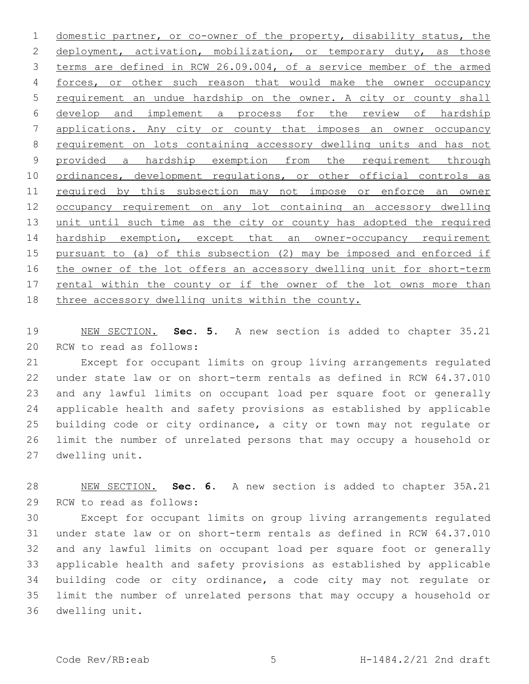domestic partner, or co-owner of the property, disability status, the 2 deployment, activation, mobilization, or temporary duty, as those terms are defined in RCW 26.09.004, of a service member of the armed forces, or other such reason that would make the owner occupancy requirement an undue hardship on the owner. A city or county shall develop and implement a process for the review of hardship applications. Any city or county that imposes an owner occupancy requirement on lots containing accessory dwelling units and has not provided a hardship exemption from the requirement through 10 ordinances, development regulations, or other official controls as 11 required by this subsection may not impose or enforce an owner occupancy requirement on any lot containing an accessory dwelling unit until such time as the city or county has adopted the required hardship exemption, except that an owner-occupancy requirement pursuant to (a) of this subsection (2) may be imposed and enforced if the owner of the lot offers an accessory dwelling unit for short-term 17 rental within the county or if the owner of the lot owns more than three accessory dwelling units within the county.

 NEW SECTION. **Sec. 5.** A new section is added to chapter 35.21 20 RCW to read as follows:

 Except for occupant limits on group living arrangements regulated under state law or on short-term rentals as defined in RCW 64.37.010 and any lawful limits on occupant load per square foot or generally applicable health and safety provisions as established by applicable building code or city ordinance, a city or town may not regulate or limit the number of unrelated persons that may occupy a household or 27 dwelling unit.

 NEW SECTION. **Sec. 6.** A new section is added to chapter 35A.21 29 RCW to read as follows:

 Except for occupant limits on group living arrangements regulated under state law or on short-term rentals as defined in RCW 64.37.010 and any lawful limits on occupant load per square foot or generally applicable health and safety provisions as established by applicable building code or city ordinance, a code city may not regulate or limit the number of unrelated persons that may occupy a household or 36 dwelling unit.